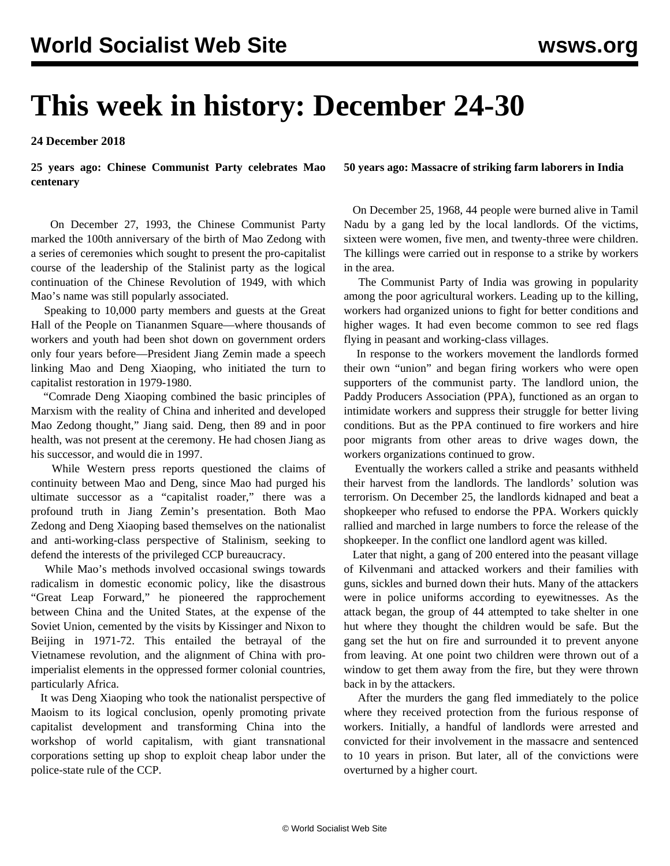# **This week in history: December 24-30**

**24 December 2018**

**25 years ago: Chinese Communist Party celebrates Mao centenary**

 On December 27, 1993, the Chinese Communist Party marked the 100th anniversary of the birth of Mao Zedong with a series of ceremonies which sought to present the pro-capitalist course of the leadership of the Stalinist party as the logical continuation of the Chinese Revolution of 1949, with which Mao's name was still popularly associated.

 Speaking to 10,000 party members and guests at the Great Hall of the People on Tiananmen Square—where thousands of workers and youth had been shot down on government orders only four years before—President Jiang Zemin made a speech linking Mao and Deng Xiaoping, who initiated the turn to capitalist restoration in 1979-1980.

 "Comrade Deng Xiaoping combined the basic principles of Marxism with the reality of China and inherited and developed Mao Zedong thought," Jiang said. Deng, then 89 and in poor health, was not present at the ceremony. He had chosen Jiang as his successor, and would die in 1997.

 While Western press reports questioned the claims of continuity between Mao and Deng, since Mao had purged his ultimate successor as a "capitalist roader," there was a profound truth in Jiang Zemin's presentation. Both Mao Zedong and Deng Xiaoping based themselves on the nationalist and anti-working-class perspective of Stalinism, seeking to defend the interests of the privileged CCP bureaucracy.

 While Mao's methods involved occasional swings towards radicalism in domestic economic policy, like the disastrous "Great Leap Forward," he pioneered the rapprochement between China and the United States, at the expense of the Soviet Union, cemented by the visits by Kissinger and Nixon to Beijing in 1971-72. This entailed the betrayal of the Vietnamese revolution, and the alignment of China with proimperialist elements in the oppressed former colonial countries, particularly Africa.

 It was Deng Xiaoping who took the nationalist perspective of Maoism to its logical conclusion, openly promoting private capitalist development and transforming China into the workshop of world capitalism, with giant transnational corporations setting up shop to exploit cheap labor under the police-state rule of the CCP.

### **50 years ago: Massacre of striking farm laborers in India**

 On December 25, 1968, 44 people were burned alive in Tamil Nadu by a gang led by the local landlords. Of the victims, sixteen were women, five men, and twenty-three were children. The killings were carried out in response to a strike by workers in the area.

 The Communist Party of India was growing in popularity among the poor agricultural workers. Leading up to the killing, workers had organized unions to fight for better conditions and higher wages. It had even become common to see red flags flying in peasant and working-class villages.

 In response to the workers movement the landlords formed their own "union" and began firing workers who were open supporters of the communist party. The landlord union, the Paddy Producers Association (PPA), functioned as an organ to intimidate workers and suppress their struggle for better living conditions. But as the PPA continued to fire workers and hire poor migrants from other areas to drive wages down, the workers organizations continued to grow.

 Eventually the workers called a strike and peasants withheld their harvest from the landlords. The landlords' solution was terrorism. On December 25, the landlords kidnaped and beat a shopkeeper who refused to endorse the PPA. Workers quickly rallied and marched in large numbers to force the release of the shopkeeper. In the conflict one landlord agent was killed.

 Later that night, a gang of 200 entered into the peasant village of Kilvenmani and attacked workers and their families with guns, sickles and burned down their huts. Many of the attackers were in police uniforms according to eyewitnesses. As the attack began, the group of 44 attempted to take shelter in one hut where they thought the children would be safe. But the gang set the hut on fire and surrounded it to prevent anyone from leaving. At one point two children were thrown out of a window to get them away from the fire, but they were thrown back in by the attackers.

 After the murders the gang fled immediately to the police where they received protection from the furious response of workers. Initially, a handful of landlords were arrested and convicted for their involvement in the massacre and sentenced to 10 years in prison. But later, all of the convictions were overturned by a higher court.